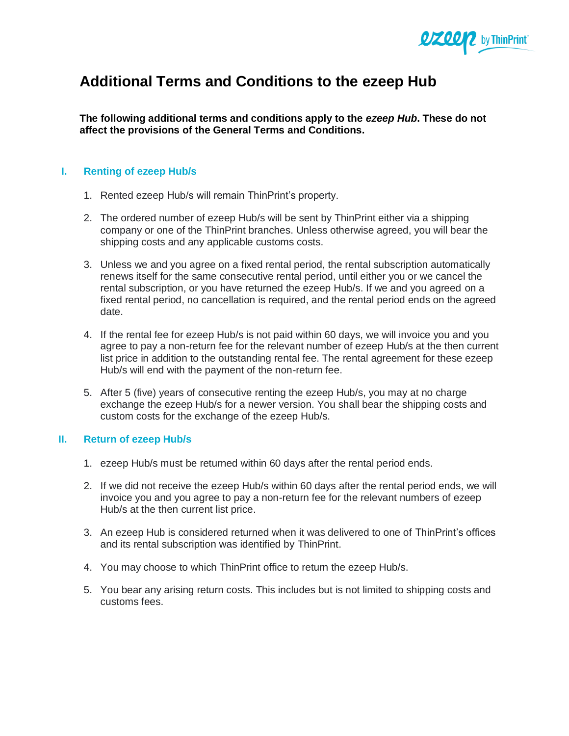

## **Additional Terms and Conditions to the ezeep Hub**

**The following additional terms and conditions apply to the** *ezeep Hub***. These do not affect the provisions of the General Terms and Conditions.**

## **I. Renting of ezeep Hub/s**

- 1. Rented ezeep Hub/s will remain ThinPrint's property.
- 2. The ordered number of ezeep Hub/s will be sent by ThinPrint either via a shipping company or one of the ThinPrint branches. Unless otherwise agreed, you will bear the shipping costs and any applicable customs costs.
- 3. Unless we and you agree on a fixed rental period, the rental subscription automatically renews itself for the same consecutive rental period, until either you or we cancel the rental subscription, or you have returned the ezeep Hub/s. If we and you agreed on a fixed rental period, no cancellation is required, and the rental period ends on the agreed date.
- 4. If the rental fee for ezeep Hub/s is not paid within 60 days, we will invoice you and you agree to pay a non-return fee for the relevant number of ezeep Hub/s at the then current list price in addition to the outstanding rental fee. The rental agreement for these ezeep Hub/s will end with the payment of the non-return fee.
- 5. After 5 (five) years of consecutive renting the ezeep Hub/s, you may at no charge exchange the ezeep Hub/s for a newer version. You shall bear the shipping costs and custom costs for the exchange of the ezeep Hub/s.

## **II. Return of ezeep Hub/s**

- 1. ezeep Hub/s must be returned within 60 days after the rental period ends.
- 2. If we did not receive the ezeep Hub/s within 60 days after the rental period ends, we will invoice you and you agree to pay a non-return fee for the relevant numbers of ezeep Hub/s at the then current list price.
- 3. An ezeep Hub is considered returned when it was delivered to one of ThinPrint's offices and its rental subscription was identified by ThinPrint.
- 4. You may choose to which ThinPrint office to return the ezeep Hub/s.
- 5. You bear any arising return costs. This includes but is not limited to shipping costs and customs fees.